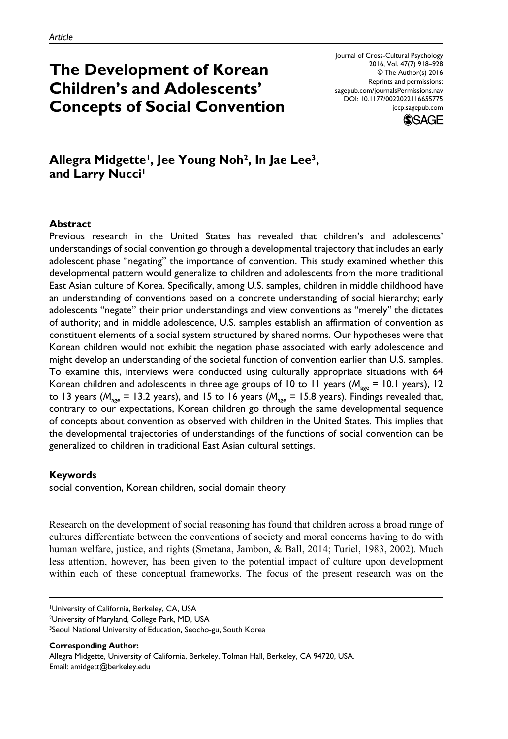# **The Development of Korean Children's and Adolescents' Concepts of Social Convention**

Journal of Cross-Cultural Psychology 2016, Vol. 47(7) 918–928 © The Author(s) 2016 Reprints and permissions: sagepub.com/journalsPermissions.nav DOI: 10.1177/0022022116655775 jccp.sagepub.com



# **Allegra Midgette1, Jee Young Noh2, In Jae Lee3,**  and Larry Nucci<sup>1</sup>

### **Abstract**

Previous research in the United States has revealed that children's and adolescents' understandings of social convention go through a developmental trajectory that includes an early adolescent phase "negating" the importance of convention. This study examined whether this developmental pattern would generalize to children and adolescents from the more traditional East Asian culture of Korea. Specifically, among U.S. samples, children in middle childhood have an understanding of conventions based on a concrete understanding of social hierarchy; early adolescents "negate" their prior understandings and view conventions as "merely" the dictates of authority; and in middle adolescence, U.S. samples establish an affirmation of convention as constituent elements of a social system structured by shared norms. Our hypotheses were that Korean children would not exhibit the negation phase associated with early adolescence and might develop an understanding of the societal function of convention earlier than U.S. samples. To examine this, interviews were conducted using culturally appropriate situations with 64 Korean children and adolescents in three age groups of 10 to 11 years ( $M_{\text{age}} = 10.1$  years), 12 to 13 years ( $M_{\text{age}}$  = 13.2 years), and 15 to 16 years ( $M_{\text{age}}$  = 15.8 years). Findings revealed that, contrary to our expectations, Korean children go through the same developmental sequence of concepts about convention as observed with children in the United States. This implies that the developmental trajectories of understandings of the functions of social convention can be generalized to children in traditional East Asian cultural settings.

#### **Keywords**

social convention, Korean children, social domain theory

Research on the development of social reasoning has found that children across a broad range of cultures differentiate between the conventions of society and moral concerns having to do with human welfare, justice, and rights (Smetana, Jambon, & Ball, 2014; Turiel, 1983, 2002). Much less attention, however, has been given to the potential impact of culture upon development within each of these conceptual frameworks. The focus of the present research was on the

1University of California, Berkeley, CA, USA

2University of Maryland, College Park, MD, USA

<sup>3</sup>Seoul National University of Education, Seocho-gu, South Korea

**Corresponding Author:** Allegra Midgette, University of California, Berkeley, Tolman Hall, Berkeley, CA 94720, USA. Email: [amidgett@berkeley.edu](mailto:amidgett@berkeley.edu)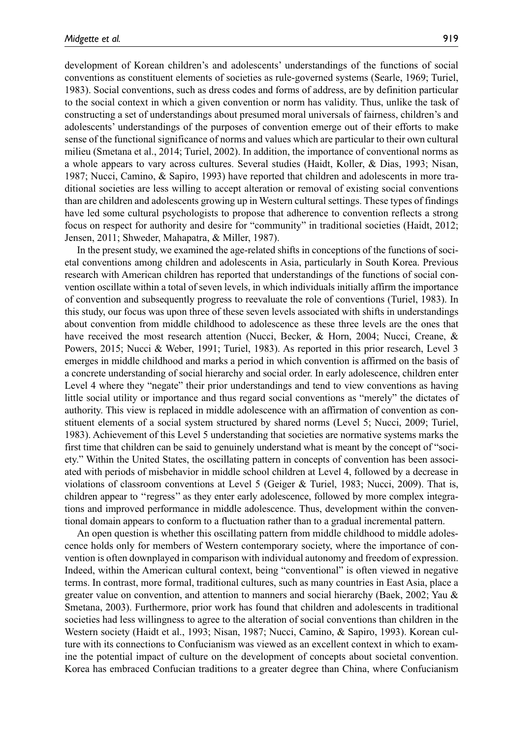development of Korean children's and adolescents' understandings of the functions of social conventions as constituent elements of societies as rule-governed systems (Searle, 1969; Turiel, 1983). Social conventions, such as dress codes and forms of address, are by definition particular to the social context in which a given convention or norm has validity. Thus, unlike the task of constructing a set of understandings about presumed moral universals of fairness, children's and adolescents' understandings of the purposes of convention emerge out of their efforts to make sense of the functional significance of norms and values which are particular to their own cultural milieu (Smetana et al., 2014; Turiel, 2002). In addition, the importance of conventional norms as a whole appears to vary across cultures. Several studies (Haidt, Koller, & Dias, 1993; Nisan, 1987; Nucci, Camino, & Sapiro, 1993) have reported that children and adolescents in more traditional societies are less willing to accept alteration or removal of existing social conventions than are children and adolescents growing up in Western cultural settings. These types of findings have led some cultural psychologists to propose that adherence to convention reflects a strong focus on respect for authority and desire for "community" in traditional societies (Haidt, 2012; Jensen, 2011; Shweder, Mahapatra, & Miller, 1987).

In the present study, we examined the age-related shifts in conceptions of the functions of societal conventions among children and adolescents in Asia, particularly in South Korea. Previous research with American children has reported that understandings of the functions of social convention oscillate within a total of seven levels, in which individuals initially affirm the importance of convention and subsequently progress to reevaluate the role of conventions (Turiel, 1983). In this study, our focus was upon three of these seven levels associated with shifts in understandings about convention from middle childhood to adolescence as these three levels are the ones that have received the most research attention (Nucci, Becker, & Horn, 2004; Nucci, Creane, & Powers, 2015; Nucci & Weber, 1991; Turiel, 1983). As reported in this prior research, Level 3 emerges in middle childhood and marks a period in which convention is affirmed on the basis of a concrete understanding of social hierarchy and social order. In early adolescence, children enter Level 4 where they "negate" their prior understandings and tend to view conventions as having little social utility or importance and thus regard social conventions as "merely" the dictates of authority. This view is replaced in middle adolescence with an affirmation of convention as constituent elements of a social system structured by shared norms (Level 5; Nucci, 2009; Turiel, 1983). Achievement of this Level 5 understanding that societies are normative systems marks the first time that children can be said to genuinely understand what is meant by the concept of "society." Within the United States, the oscillating pattern in concepts of convention has been associated with periods of misbehavior in middle school children at Level 4, followed by a decrease in violations of classroom conventions at Level 5 (Geiger & Turiel, 1983; Nucci, 2009). That is, children appear to ''regress'' as they enter early adolescence, followed by more complex integrations and improved performance in middle adolescence. Thus, development within the conventional domain appears to conform to a fluctuation rather than to a gradual incremental pattern.

An open question is whether this oscillating pattern from middle childhood to middle adolescence holds only for members of Western contemporary society, where the importance of convention is often downplayed in comparison with individual autonomy and freedom of expression. Indeed, within the American cultural context, being "conventional" is often viewed in negative terms. In contrast, more formal, traditional cultures, such as many countries in East Asia, place a greater value on convention, and attention to manners and social hierarchy (Baek, 2002; Yau & Smetana, 2003). Furthermore, prior work has found that children and adolescents in traditional societies had less willingness to agree to the alteration of social conventions than children in the Western society (Haidt et al., 1993; Nisan, 1987; Nucci, Camino, & Sapiro, 1993). Korean culture with its connections to Confucianism was viewed as an excellent context in which to examine the potential impact of culture on the development of concepts about societal convention. Korea has embraced Confucian traditions to a greater degree than China, where Confucianism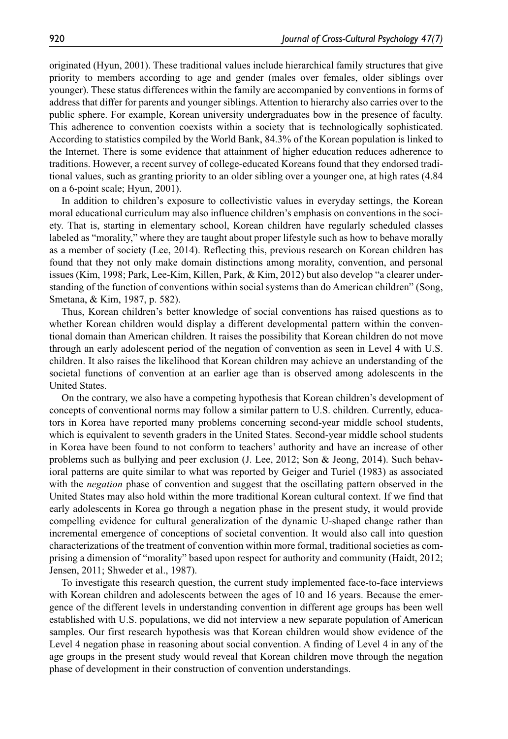originated (Hyun, 2001). These traditional values include hierarchical family structures that give priority to members according to age and gender (males over females, older siblings over younger). These status differences within the family are accompanied by conventions in forms of address that differ for parents and younger siblings. Attention to hierarchy also carries over to the public sphere. For example, Korean university undergraduates bow in the presence of faculty. This adherence to convention coexists within a society that is technologically sophisticated. According to statistics compiled by the World Bank, 84.3% of the Korean population is linked to the Internet. There is some evidence that attainment of higher education reduces adherence to traditions. However, a recent survey of college-educated Koreans found that they endorsed traditional values, such as granting priority to an older sibling over a younger one, at high rates (4.84 on a 6-point scale; Hyun, 2001).

In addition to children's exposure to collectivistic values in everyday settings, the Korean moral educational curriculum may also influence children's emphasis on conventions in the society. That is, starting in elementary school, Korean children have regularly scheduled classes labeled as "morality," where they are taught about proper lifestyle such as how to behave morally as a member of society (Lee, 2014). Reflecting this, previous research on Korean children has found that they not only make domain distinctions among morality, convention, and personal issues (Kim, 1998; Park, Lee-Kim, Killen, Park, & Kim, 2012) but also develop "a clearer understanding of the function of conventions within social systems than do American children" (Song, Smetana, & Kim, 1987, p. 582).

Thus, Korean children's better knowledge of social conventions has raised questions as to whether Korean children would display a different developmental pattern within the conventional domain than American children. It raises the possibility that Korean children do not move through an early adolescent period of the negation of convention as seen in Level 4 with U.S. children. It also raises the likelihood that Korean children may achieve an understanding of the societal functions of convention at an earlier age than is observed among adolescents in the United States.

On the contrary, we also have a competing hypothesis that Korean children's development of concepts of conventional norms may follow a similar pattern to U.S. children. Currently, educators in Korea have reported many problems concerning second-year middle school students, which is equivalent to seventh graders in the United States. Second-year middle school students in Korea have been found to not conform to teachers' authority and have an increase of other problems such as bullying and peer exclusion (J. Lee, 2012; Son & Jeong, 2014). Such behavioral patterns are quite similar to what was reported by Geiger and Turiel (1983) as associated with the *negation* phase of convention and suggest that the oscillating pattern observed in the United States may also hold within the more traditional Korean cultural context. If we find that early adolescents in Korea go through a negation phase in the present study, it would provide compelling evidence for cultural generalization of the dynamic U-shaped change rather than incremental emergence of conceptions of societal convention. It would also call into question characterizations of the treatment of convention within more formal, traditional societies as comprising a dimension of "morality" based upon respect for authority and community (Haidt, 2012; Jensen, 2011; Shweder et al., 1987).

To investigate this research question, the current study implemented face-to-face interviews with Korean children and adolescents between the ages of 10 and 16 years. Because the emergence of the different levels in understanding convention in different age groups has been well established with U.S. populations, we did not interview a new separate population of American samples. Our first research hypothesis was that Korean children would show evidence of the Level 4 negation phase in reasoning about social convention. A finding of Level 4 in any of the age groups in the present study would reveal that Korean children move through the negation phase of development in their construction of convention understandings.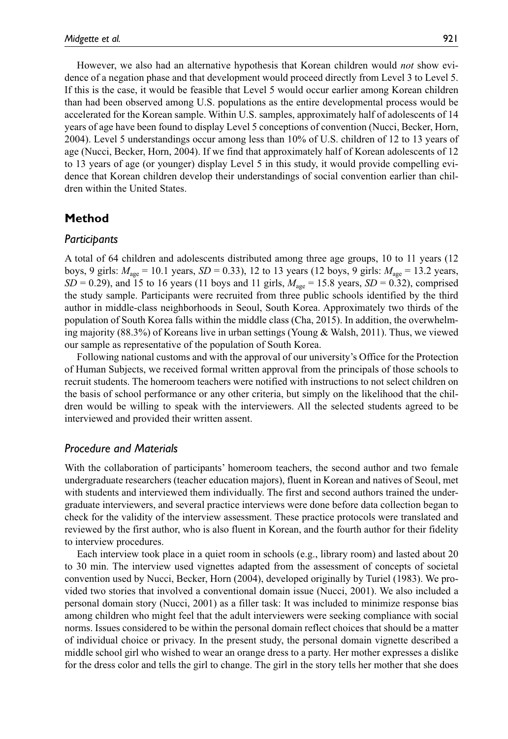However, we also had an alternative hypothesis that Korean children would *not* show evidence of a negation phase and that development would proceed directly from Level 3 to Level 5. If this is the case, it would be feasible that Level 5 would occur earlier among Korean children than had been observed among U.S. populations as the entire developmental process would be accelerated for the Korean sample. Within U.S. samples, approximately half of adolescents of 14 years of age have been found to display Level 5 conceptions of convention (Nucci, Becker, Horn, 2004). Level 5 understandings occur among less than 10% of U.S. children of 12 to 13 years of age (Nucci, Becker, Horn, 2004). If we find that approximately half of Korean adolescents of 12 to 13 years of age (or younger) display Level 5 in this study, it would provide compelling evidence that Korean children develop their understandings of social convention earlier than children within the United States.

# **Method**

#### *Participants*

A total of 64 children and adolescents distributed among three age groups, 10 to 11 years (12 boys, 9 girls:  $M_{\text{age}} = 10.1$  years,  $SD = 0.33$ ), 12 to 13 years (12 boys, 9 girls:  $M_{\text{age}} = 13.2$  years,  $SD = 0.29$ ), and 15 to 16 years (11 boys and 11 girls,  $M_{\text{age}} = 15.8$  years,  $SD = 0.32$ ), comprised the study sample. Participants were recruited from three public schools identified by the third author in middle-class neighborhoods in Seoul, South Korea. Approximately two thirds of the population of South Korea falls within the middle class (Cha, 2015). In addition, the overwhelming majority (88.3%) of Koreans live in urban settings (Young & Walsh, 2011). Thus, we viewed our sample as representative of the population of South Korea.

Following national customs and with the approval of our university's Office for the Protection of Human Subjects, we received formal written approval from the principals of those schools to recruit students. The homeroom teachers were notified with instructions to not select children on the basis of school performance or any other criteria, but simply on the likelihood that the children would be willing to speak with the interviewers. All the selected students agreed to be interviewed and provided their written assent.

# *Procedure and Materials*

With the collaboration of participants' homeroom teachers, the second author and two female undergraduate researchers (teacher education majors), fluent in Korean and natives of Seoul, met with students and interviewed them individually. The first and second authors trained the undergraduate interviewers, and several practice interviews were done before data collection began to check for the validity of the interview assessment. These practice protocols were translated and reviewed by the first author, who is also fluent in Korean, and the fourth author for their fidelity to interview procedures.

Each interview took place in a quiet room in schools (e.g., library room) and lasted about 20 to 30 min. The interview used vignettes adapted from the assessment of concepts of societal convention used by Nucci, Becker, Horn (2004), developed originally by Turiel (1983). We provided two stories that involved a conventional domain issue (Nucci, 2001). We also included a personal domain story (Nucci, 2001) as a filler task: It was included to minimize response bias among children who might feel that the adult interviewers were seeking compliance with social norms. Issues considered to be within the personal domain reflect choices that should be a matter of individual choice or privacy. In the present study, the personal domain vignette described a middle school girl who wished to wear an orange dress to a party. Her mother expresses a dislike for the dress color and tells the girl to change. The girl in the story tells her mother that she does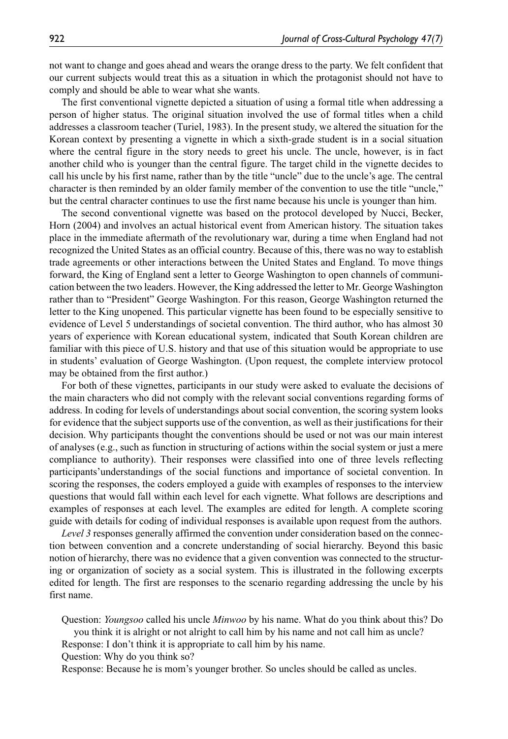not want to change and goes ahead and wears the orange dress to the party. We felt confident that our current subjects would treat this as a situation in which the protagonist should not have to comply and should be able to wear what she wants.

The first conventional vignette depicted a situation of using a formal title when addressing a person of higher status. The original situation involved the use of formal titles when a child addresses a classroom teacher (Turiel, 1983). In the present study, we altered the situation for the Korean context by presenting a vignette in which a sixth-grade student is in a social situation where the central figure in the story needs to greet his uncle. The uncle, however, is in fact another child who is younger than the central figure. The target child in the vignette decides to call his uncle by his first name, rather than by the title "uncle" due to the uncle's age. The central character is then reminded by an older family member of the convention to use the title "uncle," but the central character continues to use the first name because his uncle is younger than him.

The second conventional vignette was based on the protocol developed by Nucci, Becker, Horn (2004) and involves an actual historical event from American history. The situation takes place in the immediate aftermath of the revolutionary war, during a time when England had not recognized the United States as an official country. Because of this, there was no way to establish trade agreements or other interactions between the United States and England. To move things forward, the King of England sent a letter to George Washington to open channels of communication between the two leaders. However, the King addressed the letter to Mr. George Washington rather than to "President" George Washington. For this reason, George Washington returned the letter to the King unopened. This particular vignette has been found to be especially sensitive to evidence of Level 5 understandings of societal convention. The third author, who has almost 30 years of experience with Korean educational system, indicated that South Korean children are familiar with this piece of U.S. history and that use of this situation would be appropriate to use in students' evaluation of George Washington. (Upon request, the complete interview protocol may be obtained from the first author.)

For both of these vignettes, participants in our study were asked to evaluate the decisions of the main characters who did not comply with the relevant social conventions regarding forms of address. In coding for levels of understandings about social convention, the scoring system looks for evidence that the subject supports use of the convention, as well as their justifications for their decision. Why participants thought the conventions should be used or not was our main interest of analyses (e.g., such as function in structuring of actions within the social system or just a mere compliance to authority). Their responses were classified into one of three levels reflecting participants'understandings of the social functions and importance of societal convention. In scoring the responses, the coders employed a guide with examples of responses to the interview questions that would fall within each level for each vignette. What follows are descriptions and examples of responses at each level. The examples are edited for length. A complete scoring guide with details for coding of individual responses is available upon request from the authors.

*Level 3* responses generally affirmed the convention under consideration based on the connection between convention and a concrete understanding of social hierarchy. Beyond this basic notion of hierarchy, there was no evidence that a given convention was connected to the structuring or organization of society as a social system. This is illustrated in the following excerpts edited for length. The first are responses to the scenario regarding addressing the uncle by his first name.

Question: *Youngsoo* called his uncle *Minwoo* by his name. What do you think about this? Do

you think it is alright or not alright to call him by his name and not call him as uncle?

Response: I don't think it is appropriate to call him by his name.

Question: Why do you think so?

Response: Because he is mom's younger brother. So uncles should be called as uncles.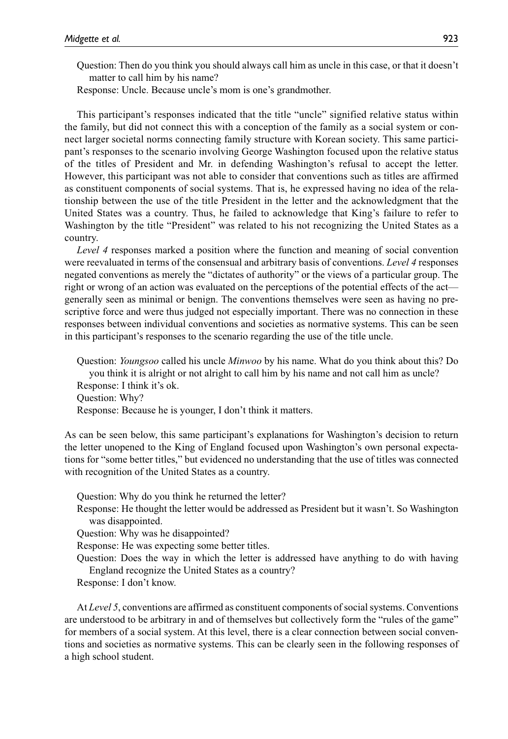- Question: Then do you think you should always call him as uncle in this case, or that it doesn't matter to call him by his name?
- Response: Uncle. Because uncle's mom is one's grandmother.

This participant's responses indicated that the title "uncle" signified relative status within the family, but did not connect this with a conception of the family as a social system or connect larger societal norms connecting family structure with Korean society. This same participant's responses to the scenario involving George Washington focused upon the relative status of the titles of President and Mr. in defending Washington's refusal to accept the letter. However, this participant was not able to consider that conventions such as titles are affirmed as constituent components of social systems. That is, he expressed having no idea of the relationship between the use of the title President in the letter and the acknowledgment that the United States was a country. Thus, he failed to acknowledge that King's failure to refer to Washington by the title "President" was related to his not recognizing the United States as a country.

*Level 4* responses marked a position where the function and meaning of social convention were reevaluated in terms of the consensual and arbitrary basis of conventions. *Level 4* responses negated conventions as merely the "dictates of authority" or the views of a particular group. The right or wrong of an action was evaluated on the perceptions of the potential effects of the act generally seen as minimal or benign. The conventions themselves were seen as having no prescriptive force and were thus judged not especially important. There was no connection in these responses between individual conventions and societies as normative systems. This can be seen in this participant's responses to the scenario regarding the use of the title uncle.

Question: *Youngsoo* called his uncle *Minwoo* by his name. What do you think about this? Do you think it is alright or not alright to call him by his name and not call him as uncle? Response: I think it's ok. Question: Why?

Response: Because he is younger, I don't think it matters.

As can be seen below, this same participant's explanations for Washington's decision to return the letter unopened to the King of England focused upon Washington's own personal expectations for "some better titles," but evidenced no understanding that the use of titles was connected with recognition of the United States as a country.

Question: Why do you think he returned the letter?

Response: He thought the letter would be addressed as President but it wasn't. So Washington was disappointed.

Question: Why was he disappointed?

Response: He was expecting some better titles.

Question: Does the way in which the letter is addressed have anything to do with having England recognize the United States as a country?

Response: I don't know.

At *Level* 5, conventions are affirmed as constituent components of social systems. Conventions are understood to be arbitrary in and of themselves but collectively form the "rules of the game" for members of a social system. At this level, there is a clear connection between social conventions and societies as normative systems. This can be clearly seen in the following responses of a high school student.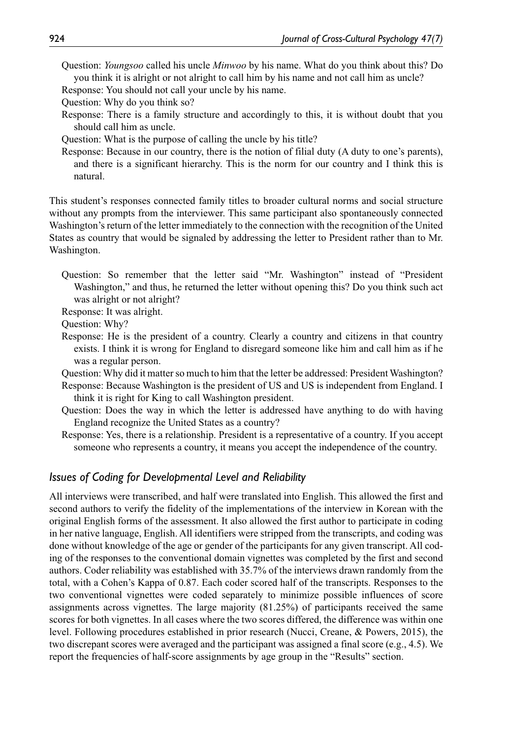Question: *Youngsoo* called his uncle *Minwoo* by his name. What do you think about this? Do you think it is alright or not alright to call him by his name and not call him as uncle?

Response: You should not call your uncle by his name.

Question: Why do you think so?

- Response: There is a family structure and accordingly to this, it is without doubt that you should call him as uncle.
- Question: What is the purpose of calling the uncle by his title?
- Response: Because in our country, there is the notion of filial duty (A duty to one's parents), and there is a significant hierarchy. This is the norm for our country and I think this is natural.

This student's responses connected family titles to broader cultural norms and social structure without any prompts from the interviewer. This same participant also spontaneously connected Washington's return of the letter immediately to the connection with the recognition of the United States as country that would be signaled by addressing the letter to President rather than to Mr. Washington.

Question: So remember that the letter said "Mr. Washington" instead of "President Washington," and thus, he returned the letter without opening this? Do you think such act was alright or not alright?

Response: It was alright.

Question: Why?

Response: He is the president of a country. Clearly a country and citizens in that country exists. I think it is wrong for England to disregard someone like him and call him as if he was a regular person.

Question: Why did it matter so much to him that the letter be addressed: President Washington?

- Response: Because Washington is the president of US and US is independent from England. I think it is right for King to call Washington president.
- Question: Does the way in which the letter is addressed have anything to do with having England recognize the United States as a country?
- Response: Yes, there is a relationship. President is a representative of a country. If you accept someone who represents a country, it means you accept the independence of the country.

# *Issues of Coding for Developmental Level and Reliability*

All interviews were transcribed, and half were translated into English. This allowed the first and second authors to verify the fidelity of the implementations of the interview in Korean with the original English forms of the assessment. It also allowed the first author to participate in coding in her native language, English. All identifiers were stripped from the transcripts, and coding was done without knowledge of the age or gender of the participants for any given transcript. All coding of the responses to the conventional domain vignettes was completed by the first and second authors. Coder reliability was established with 35.7% of the interviews drawn randomly from the total, with a Cohen's Kappa of 0.87. Each coder scored half of the transcripts. Responses to the two conventional vignettes were coded separately to minimize possible influences of score assignments across vignettes. The large majority (81.25%) of participants received the same scores for both vignettes. In all cases where the two scores differed, the difference was within one level. Following procedures established in prior research (Nucci, Creane, & Powers, 2015), the two discrepant scores were averaged and the participant was assigned a final score (e.g., 4.5). We report the frequencies of half-score assignments by age group in the "Results" section.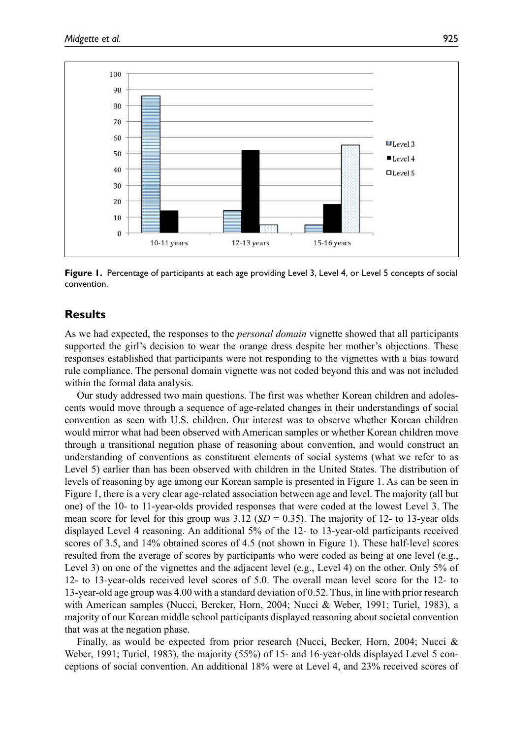

**Figure 1.** Percentage of participants at each age providing Level 3, Level 4, or Level 5 concepts of social convention.

# **Results**

As we had expected, the responses to the *personal domain* vignette showed that all participants supported the girl's decision to wear the orange dress despite her mother's objections. These responses established that participants were not responding to the vignettes with a bias toward rule compliance. The personal domain vignette was not coded beyond this and was not included within the formal data analysis.

Our study addressed two main questions. The first was whether Korean children and adolescents would move through a sequence of age-related changes in their understandings of social convention as seen with U.S. children. Our interest was to observe whether Korean children would mirror what had been observed with American samples or whether Korean children move through a transitional negation phase of reasoning about convention, and would construct an understanding of conventions as constituent elements of social systems (what we refer to as Level 5) earlier than has been observed with children in the United States. The distribution of levels of reasoning by age among our Korean sample is presented in Figure 1. As can be seen in Figure 1, there is a very clear age-related association between age and level. The majority (all but one) of the 10- to 11-year-olds provided responses that were coded at the lowest Level 3. The mean score for level for this group was  $3.12$  (*SD* = 0.35). The majority of 12- to 13-year olds displayed Level 4 reasoning. An additional 5% of the 12- to 13-year-old participants received scores of 3.5, and 14% obtained scores of 4.5 (not shown in Figure 1). These half-level scores resulted from the average of scores by participants who were coded as being at one level (e.g., Level 3) on one of the vignettes and the adjacent level (e.g., Level 4) on the other. Only 5% of 12- to 13-year-olds received level scores of 5.0. The overall mean level score for the 12- to 13-year-old age group was 4.00 with a standard deviation of 0.52. Thus, in line with prior research with American samples (Nucci, Bercker, Horn, 2004; Nucci & Weber, 1991; Turiel, 1983), a majority of our Korean middle school participants displayed reasoning about societal convention that was at the negation phase.

Finally, as would be expected from prior research (Nucci, Becker, Horn, 2004; Nucci & Weber, 1991; Turiel, 1983), the majority (55%) of 15- and 16-year-olds displayed Level 5 conceptions of social convention. An additional 18% were at Level 4, and 23% received scores of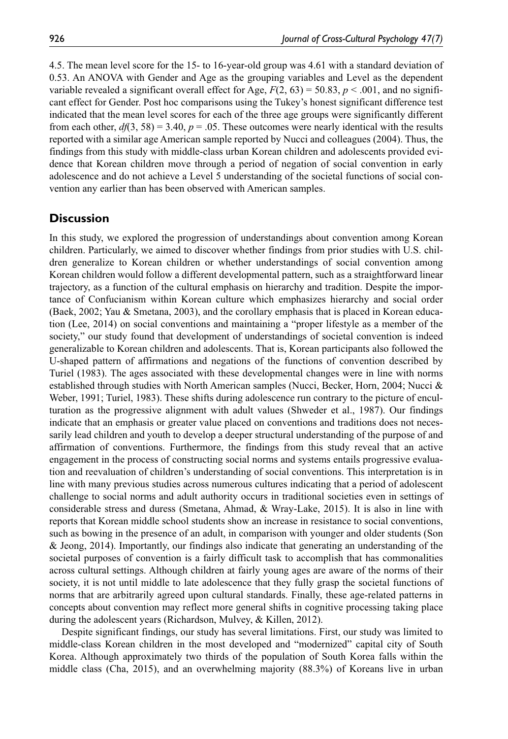4.5. The mean level score for the 15- to 16-year-old group was 4.61 with a standard deviation of 0.53. An ANOVA with Gender and Age as the grouping variables and Level as the dependent variable revealed a significant overall effect for Age,  $F(2, 63) = 50.83$ ,  $p < .001$ , and no significant effect for Gender. Post hoc comparisons using the Tukey's honest significant difference test indicated that the mean level scores for each of the three age groups were significantly different from each other,  $df(3, 58) = 3.40$ ,  $p = .05$ . These outcomes were nearly identical with the results reported with a similar age American sample reported by Nucci and colleagues (2004). Thus, the findings from this study with middle-class urban Korean children and adolescents provided evidence that Korean children move through a period of negation of social convention in early adolescence and do not achieve a Level 5 understanding of the societal functions of social convention any earlier than has been observed with American samples.

# **Discussion**

In this study, we explored the progression of understandings about convention among Korean children. Particularly, we aimed to discover whether findings from prior studies with U.S. children generalize to Korean children or whether understandings of social convention among Korean children would follow a different developmental pattern, such as a straightforward linear trajectory, as a function of the cultural emphasis on hierarchy and tradition. Despite the importance of Confucianism within Korean culture which emphasizes hierarchy and social order (Baek, 2002; Yau & Smetana, 2003), and the corollary emphasis that is placed in Korean education (Lee, 2014) on social conventions and maintaining a "proper lifestyle as a member of the society," our study found that development of understandings of societal convention is indeed generalizable to Korean children and adolescents. That is, Korean participants also followed the U-shaped pattern of affirmations and negations of the functions of convention described by Turiel (1983). The ages associated with these developmental changes were in line with norms established through studies with North American samples (Nucci, Becker, Horn, 2004; Nucci & Weber, 1991; Turiel, 1983). These shifts during adolescence run contrary to the picture of enculturation as the progressive alignment with adult values (Shweder et al., 1987). Our findings indicate that an emphasis or greater value placed on conventions and traditions does not necessarily lead children and youth to develop a deeper structural understanding of the purpose of and affirmation of conventions. Furthermore, the findings from this study reveal that an active engagement in the process of constructing social norms and systems entails progressive evaluation and reevaluation of children's understanding of social conventions. This interpretation is in line with many previous studies across numerous cultures indicating that a period of adolescent challenge to social norms and adult authority occurs in traditional societies even in settings of considerable stress and duress (Smetana, Ahmad, & Wray-Lake, 2015). It is also in line with reports that Korean middle school students show an increase in resistance to social conventions, such as bowing in the presence of an adult, in comparison with younger and older students (Son & Jeong, 2014). Importantly, our findings also indicate that generating an understanding of the societal purposes of convention is a fairly difficult task to accomplish that has commonalities across cultural settings. Although children at fairly young ages are aware of the norms of their society, it is not until middle to late adolescence that they fully grasp the societal functions of norms that are arbitrarily agreed upon cultural standards. Finally, these age-related patterns in concepts about convention may reflect more general shifts in cognitive processing taking place during the adolescent years (Richardson, Mulvey, & Killen, 2012).

Despite significant findings, our study has several limitations. First, our study was limited to middle-class Korean children in the most developed and "modernized" capital city of South Korea. Although approximately two thirds of the population of South Korea falls within the middle class (Cha, 2015), and an overwhelming majority (88.3%) of Koreans live in urban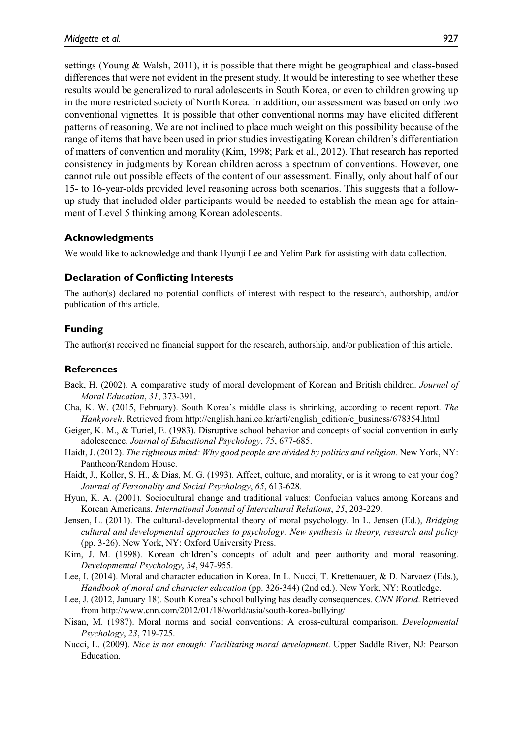settings (Young & Walsh, 2011), it is possible that there might be geographical and class-based differences that were not evident in the present study. It would be interesting to see whether these results would be generalized to rural adolescents in South Korea, or even to children growing up in the more restricted society of North Korea. In addition, our assessment was based on only two conventional vignettes. It is possible that other conventional norms may have elicited different patterns of reasoning. We are not inclined to place much weight on this possibility because of the range of items that have been used in prior studies investigating Korean children's differentiation of matters of convention and morality (Kim, 1998; Park et al., 2012). That research has reported consistency in judgments by Korean children across a spectrum of conventions. However, one cannot rule out possible effects of the content of our assessment. Finally, only about half of our 15- to 16-year-olds provided level reasoning across both scenarios. This suggests that a followup study that included older participants would be needed to establish the mean age for attainment of Level 5 thinking among Korean adolescents.

#### **Acknowledgments**

We would like to acknowledge and thank Hyunji Lee and Yelim Park for assisting with data collection.

#### **Declaration of Conflicting Interests**

The author(s) declared no potential conflicts of interest with respect to the research, authorship, and/or publication of this article.

#### **Funding**

The author(s) received no financial support for the research, authorship, and/or publication of this article.

#### **References**

- Baek, H. (2002). A comparative study of moral development of Korean and British children. *Journal of Moral Education*, *31*, 373-391.
- Cha, K. W. (2015, February). South Korea's middle class is shrinking, according to recent report. *The Hankyoreh*. Retrieved from [http://english.hani.co.kr/arti/english\\_edition/e\\_business/678354.html](http://english.hani.co.kr/arti/english_edition/e_business/678354.html)
- Geiger, K. M., & Turiel, E. (1983). Disruptive school behavior and concepts of social convention in early adolescence. *Journal of Educational Psychology*, *75*, 677-685.
- Haidt, J. (2012). *The righteous mind: Why good people are divided by politics and religion*. New York, NY: Pantheon/Random House.
- Haidt, J., Koller, S. H., & Dias, M. G. (1993). Affect, culture, and morality, or is it wrong to eat your dog? *Journal of Personality and Social Psychology*, *65*, 613-628.
- Hyun, K. A. (2001). Sociocultural change and traditional values: Confucian values among Koreans and Korean Americans. *International Journal of Intercultural Relations*, *25*, 203-229.
- Jensen, L. (2011). The cultural-developmental theory of moral psychology. In L. Jensen (Ed.), *Bridging cultural and developmental approaches to psychology: New synthesis in theory, research and policy* (pp. 3-26). New York, NY: Oxford University Press.
- Kim, J. M. (1998). Korean children's concepts of adult and peer authority and moral reasoning. *Developmental Psychology*, *34*, 947-955.
- Lee, I. (2014). Moral and character education in Korea. In L. Nucci, T. Krettenauer, & D. Narvaez (Eds.), *Handbook of moral and character education* (pp. 326-344) (2nd ed.). New York, NY: Routledge.
- Lee, J. (2012, January 18). South Korea's school bullying has deadly consequences. *CNN World*. Retrieved from <http://www.cnn.com/2012/01/18/world/asia/south-korea-bullying/>
- Nisan, M. (1987). Moral norms and social conventions: A cross-cultural comparison. *Developmental Psychology*, *23*, 719-725.
- Nucci, L. (2009). *Nice is not enough: Facilitating moral development*. Upper Saddle River, NJ: Pearson Education.